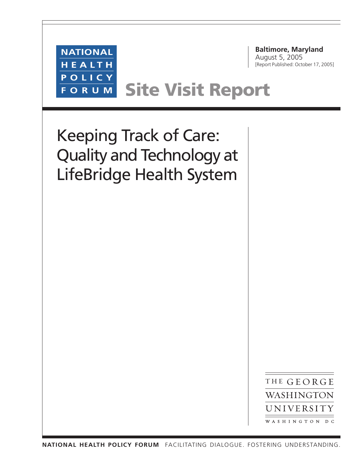

THE GEORGE WASHINGTON UNIVERSITY WASHINGTON DC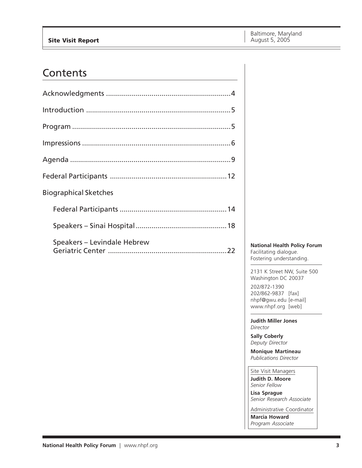### Contents

| <b>Biographical Sketches</b> |
|------------------------------|
|                              |
|                              |
| Speakers - Levindale Hebrew  |

**National Health Policy Forum** Facilitating dialogue. Fostering understanding.

2131 K Street NW, Suite 500 Washington DC 20037

202/872-1390 202/862-9837 [fax] nhpf@gwu.edu [e-mail] www.nhpf.org [web]

**Judith Miller Jones** *Director*

**Sally Coberly** *Deputy Director*

**Monique Martineau** *Publications Director*

Site Visit Managers

**Judith D. Moore** *Senior Fellow*

**Lisa Sprague** *Senior Research Associate*

Administrative Coordinator **Marcia Howard** *Program Associate*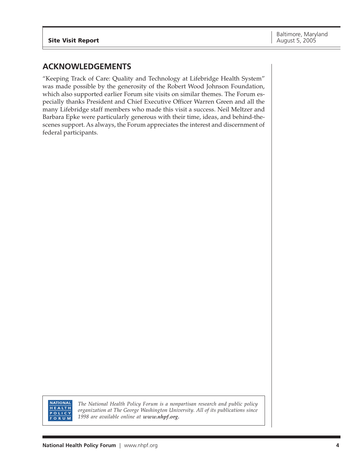### **ACKNOWLEDGEMENTS**

"Keeping Track of Care: Quality and Technology at Lifebridge Health System" was made possible by the generosity of the Robert Wood Johnson Foundation, which also supported earlier Forum site visits on similar themes. The Forum especially thanks President and Chief Executive Officer Warren Green and all the many Lifebridge staff members who made this visit a success. Neil Meltzer and Barbara Epke were particularly generous with their time, ideas, and behind-thescenes support. As always, the Forum appreciates the interest and discernment of federal participants.



*The National Health Policy Forum is a nonpartisan research and public policy organization at The George Washington University. All of its publications since 1998 are available online at www.nhpf.org.*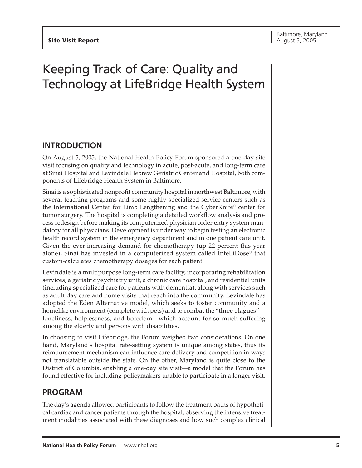# Keeping Track of Care: Quality and Technology at LifeBridge Health System

### **INTRODUCTION**

On August 5, 2005, the National Health Policy Forum sponsored a one-day site visit focusing on quality and technology in acute, post-acute, and long-term care at Sinai Hospital and Levindale Hebrew Geriatric Center and Hospital, both components of Lifebridge Health System in Baltimore.

Sinai is a sophisticated nonprofit community hospital in northwest Baltimore, with several teaching programs and some highly specialized service centers such as the International Center for Limb Lengthening and the CyberKnife® center for tumor surgery. The hospital is completing a detailed workflow analysis and process redesign before making its computerized physician order entry system mandatory for all physicians. Development is under way to begin testing an electronic health record system in the emergency department and in one patient care unit. Given the ever-increasing demand for chemotherapy (up 22 percent this year alone), Sinai has invested in a computerized system called IntelliDose® that custom-calculates chemotherapy dosages for each patient.

Levindale is a multipurpose long-term care facility, incorporating rehabilitation services, a geriatric psychiatry unit, a chronic care hospital, and residential units (including specialized care for patients with dementia), along with services such as adult day care and home visits that reach into the community. Levindale has adopted the Eden Alternative model, which seeks to foster community and a homelike environment (complete with pets) and to combat the "three plagues" loneliness, helplessness, and boredom—which account for so much suffering among the elderly and persons with disabilities.

In choosing to visit Lifebridge, the Forum weighed two considerations. On one hand, Maryland's hospital rate-setting system is unique among states, thus its reimbursement mechanism can influence care delivery and competition in ways not translatable outside the state. On the other, Maryland is quite close to the District of Columbia, enabling a one-day site visit—a model that the Forum has found effective for including policymakers unable to participate in a longer visit.

### **PROGRAM**

The day's agenda allowed participants to follow the treatment paths of hypothetical cardiac and cancer patients through the hospital, observing the intensive treatment modalities associated with these diagnoses and how such complex clinical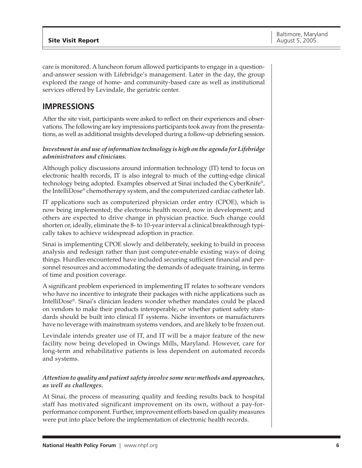care is monitored. A luncheon forum allowed participants to engage in a questionand-answer session with Lifebridge's management. Later in the day, the group explored the range of home- and community-based care as well as institutional services offered by Levindale, the geriatric center.

### **IMPRESSIONS**

After the site visit, participants were asked to reflect on their experiences and observations. The following are key impressions participants took away from the presentations, as well as additional insights developed during a follow-up debriefing session.

#### *Investment in and use of information technology is high on the agenda for Lifebridge administrators and clinicians.*

Although policy discussions around information technology (IT) tend to focus on electronic health records, IT is also integral to much of the cutting-edge clinical technology being adopted. Examples observed at Sinai included the CyberKnife®, the IntelliDose® chemotherapy system, and the computerized cardiac catheter lab.

IT applications such as computerized physician order entry (CPOE), which is now being implemented; the electronic health record, now in development; and others are expected to drive change in physician practice. Such change could shorten or, ideally, eliminate the 8- to 10-year interval a clinical breakthrough typically takes to achieve widespread adoption in practice.

Sinai is implementing CPOE slowly and deliberately, seeking to build in process analysis and redesign rather than just computer-enable existing ways of doing things. Hurdles encountered have included securing sufficient financial and personnel resources and accommodating the demands of adequate training, in terms of time and position coverage.

A significant problem experienced in implementing IT relates to software vendors who have no incentive to integrate their packages with niche applications such as IntelliDose®. Sinai's clinician leaders wonder whether mandates could be placed on vendors to make their products interoperable, or whether patient safety standards should be built into clinical IT systems. Niche inventors or manufacturers have no leverage with mainstream systems vendors, and are likely to be frozen out.

Levindale intends greater use of IT, and IT will be a major feature of the new facility now being developed in Owings Mills, Maryland. However, care for long-term and rehabilitative patients is less dependent on automated records and systems.

#### *Attention to quality and patient safety involve some new methods and approaches, as well as challenges.*

At Sinai, the process of measuring quality and feeding results back to hospital staff has motivated significant improvement on its own, without a pay-forperformance component. Further, improvement efforts based on quality measures were put into place before the implementation of electronic health records.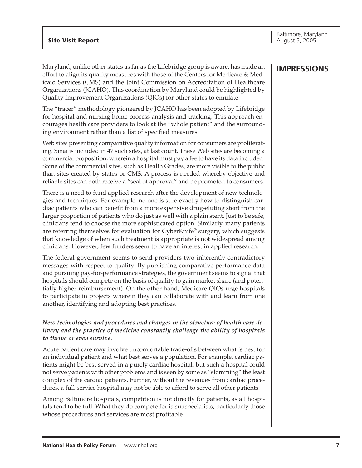Maryland, unlike other states as far as the Lifebridge group is aware, has made an effort to align its quality measures with those of the Centers for Medicare & Medicaid Services (CMS) and the Joint Commission on Accreditation of Healthcare Organizations (JCAHO). This coordination by Maryland could be highlighted by Quality Improvement Organizations (QIOs) for other states to emulate.

The "tracer" methodology pioneered by JCAHO has been adopted by Lifebridge for hospital and nursing home process analysis and tracking. This approach encourages health care providers to look at the "whole patient" and the surrounding environment rather than a list of specified measures.

Web sites presenting comparative quality information for consumers are proliferating. Sinai is included in 47 such sites, at last count. These Web sites are becoming a commercial proposition, wherein a hospital must pay a fee to have its data included. Some of the commercial sites, such as Health Grades, are more visible to the public than sites created by states or CMS. A process is needed whereby objective and reliable sites can both receive a "seal of approval" and be promoted to consumers.

There is a need to fund applied research after the development of new technologies and techniques. For example, no one is sure exactly how to distinguish cardiac patients who can benefit from a more expensive drug-eluting stent from the larger proportion of patients who do just as well with a plain stent. Just to be safe, clinicians tend to choose the more sophisticated option. Similarly, many patients are referring themselves for evaluation for CyberKnife® surgery, which suggests that knowledge of when such treatment is appropriate is not widespread among clinicians. However, few funders seem to have an interest in applied research.

The federal government seems to send providers two inherently contradictory messages with respect to quality: By publishing comparative performance data and pursuing pay-for-performance strategies, the government seems to signal that hospitals should compete on the basis of quality to gain market share (and potentially higher reimbursement). On the other hand, Medicare QIOs urge hospitals to participate in projects wherein they can collaborate with and learn from one another, identifying and adopting best practices.

#### *New technologies and procedures and changes in the structure of health care delivery and the practice of medicine constantly challenge the ability of hospitals to thrive or even survive.*

Acute patient care may involve uncomfortable trade-offs between what is best for an individual patient and what best serves a population. For example, cardiac patients might be best served in a purely cardiac hospital, but such a hospital could not serve patients with other problems and is seen by some as "skimming" the least complex of the cardiac patients. Further, without the revenues from cardiac procedures, a full-service hospital may not be able to afford to serve all other patients.

Among Baltimore hospitals, competition is not directly for patients, as all hospitals tend to be full. What they do compete for is subspecialists, particularly those whose procedures and services are most profitable.

### **IMPRESSIONS**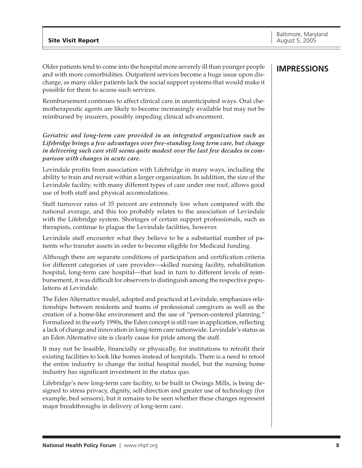Older patients tend to come into the hospital more severely ill than younger people and with more comorbidities. Outpatient services become a huge issue upon discharge, as many older patients lack the social support systems that would make it possible for them to access such services.

Reimbursement continues to affect clinical care in unanticipated ways. Oral chemotherapeutic agents are likely to become increasingly available but may not be reimbursed by insurers, possibly impeding clinical advancement.

*Geriatric and long-term care provided in an integrated organization such as Lifebridge brings a few advantages over free-standing long term care, but change in delivering such care still seems quite modest over the last few decades in comparison with changes in acute care.*

Levindale profits from association with Lifebridge in many ways, including the ability to train and recruit within a larger organization. In addition, the size of the Levindale facility, with many different types of care under one roof, allows good use of both staff and physical accomodations.

Staff turnover rates of 35 percent are extremely low when compared with the national average, and this too probably relates to the association of Levindale with the Lifebridge system. Shortages of certain support professionals, such as therapists, continue to plague the Levindale facilities, however.

Levindale staff encounter what they believe to be a substantial number of patients who transfer assets in order to become eligible for Medicaid funding.

Although there are separate conditions of participation and certification criteria for different categories of care provider—skilled nursing facility, rehabilitation hospital, long-term care hospital—that lead in turn to different levels of reimbursement, it was difficult for observers to distinguish among the respective populations at Levindale.

The Eden Alternative model, adopted and practiced at Levindale, emphasizes relationships between residents and teams of professional caregivers as well as the creation of a home-like environment and the use of "person-centered planning." Formalized in the early 1990s, the Eden concept is still rare in application, reflecting a lack of change and innovation in long-term care nationwide. Levindale's status as an Eden Alternative site is clearly cause for pride among the staff.

It may not be feasible, financially or physically, for institutions to retrofit their existing facilities to look like homes instead of hospitals. There is a need to retool the entire industry to change the initial hospital model, but the nursing home industry has significant investment in the status quo.

Lifebridge's new long-term care facility, to be built in Owings Mills, is being designed to stress privacy, dignity, self-direction and greater use of technology (for example, bed sensors), but it remains to be seen whether these changes represent major breakthroughs in delivery of long-term care.

### **IMPRESSIONS**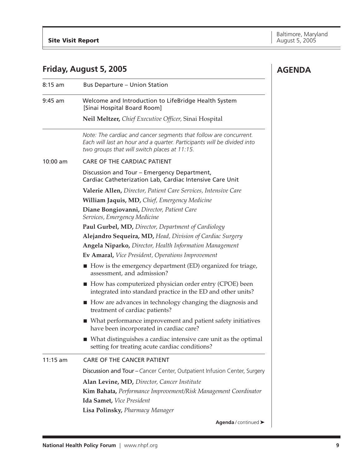**AGENDA**

### **Friday, August 5, 2005**

| $8:15$ am  | <b>Bus Departure - Union Station</b>                                                                                                                                                         |  |  |
|------------|----------------------------------------------------------------------------------------------------------------------------------------------------------------------------------------------|--|--|
| $9:45$ am  | Welcome and Introduction to LifeBridge Health System<br>[Sinai Hospital Board Room]                                                                                                          |  |  |
|            | Neil Meltzer, Chief Executive Officer, Sinai Hospital                                                                                                                                        |  |  |
|            | Note: The cardiac and cancer segments that follow are concurrent.<br>Each will last an hour and a quarter. Participants will be divided into<br>two groups that will switch places at 11:15. |  |  |
| $10:00$ am | <b>CARE OF THE CARDIAC PATIENT</b>                                                                                                                                                           |  |  |
|            | Discussion and Tour - Emergency Department,<br>Cardiac Catheterization Lab, Cardiac Intensive Care Unit                                                                                      |  |  |
|            | Valerie Allen, Director, Patient Care Services, Intensive Care                                                                                                                               |  |  |
|            | William Jaquis, MD, Chief, Emergency Medicine                                                                                                                                                |  |  |
|            | Diane Bongiovanni, Director, Patient Care<br>Services, Emergency Medicine                                                                                                                    |  |  |
|            | Paul Gurbel, MD, Director, Department of Cardiology                                                                                                                                          |  |  |
|            | Alejandro Sequeira, MD, Head, Division of Cardiac Surgery                                                                                                                                    |  |  |
|            | Angela Niparko, Director, Health Information Management                                                                                                                                      |  |  |
|            | <b>Ev Amaral, Vice President, Operations Improvement</b>                                                                                                                                     |  |  |
|            | $\blacksquare$ How is the emergency department (ED) organized for triage,<br>assessment, and admission?                                                                                      |  |  |
|            | $\blacksquare$ How has computerized physician order entry (CPOE) been<br>integrated into standard practice in the ED and other units?                                                        |  |  |
|            | ■ How are advances in technology changing the diagnosis and<br>treatment of cardiac patients?                                                                                                |  |  |
|            | ■ What performance improvement and patient safety initiatives<br>have been incorporated in cardiac care?                                                                                     |  |  |
|            | ■ What distinguishes a cardiac intensive care unit as the optimal<br>setting for treating acute cardiac conditions?                                                                          |  |  |
| $11:15$ am | <b>CARE OF THE CANCER PATIENT</b>                                                                                                                                                            |  |  |
|            | Discussion and Tour - Cancer Center, Outpatient Infusion Center, Surgery                                                                                                                     |  |  |
|            | Alan Levine, MD, Director, Cancer Institute                                                                                                                                                  |  |  |
|            | Kim Bahata, Performance Improvement/Risk Management Coordinator                                                                                                                              |  |  |
|            | Ida Samet, Vice President                                                                                                                                                                    |  |  |
|            | Lisa Polinsky, Pharmacy Manager                                                                                                                                                              |  |  |
|            | Agenda / continued >                                                                                                                                                                         |  |  |
|            |                                                                                                                                                                                              |  |  |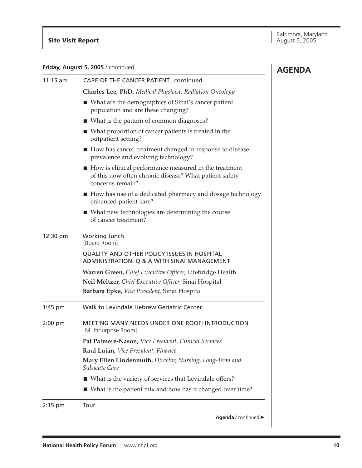#### **Friday, August 5, 2005** / continued

| Friday, August 5, 2005 / continued | <b>AGENDA</b>                                                                                                                         |  |
|------------------------------------|---------------------------------------------------------------------------------------------------------------------------------------|--|
| $11:15$ am                         | <b>CARE OF THE CANCER PATIENTcontinued</b>                                                                                            |  |
|                                    | <b>Charles Lee, PhD, Medical Physicist, Radiation Oncology</b>                                                                        |  |
|                                    | ■ What are the demographics of Sinai's cancer patient<br>population and are these changing?                                           |  |
|                                    | ■ What is the pattern of common diagnoses?                                                                                            |  |
|                                    | ■ What proportion of cancer patients is treated in the<br>outpatient setting?                                                         |  |
|                                    | How has cancer treatment changed in response to disease<br>prevalence and evolving technology?                                        |  |
|                                    | ■ How is clinical performance measured in the treatment<br>of this now often chronic disease? What patient safety<br>concerns remain? |  |
|                                    | ■ How has use of a dedicated pharmacy and dosage technology<br>enhanced patient care?                                                 |  |
|                                    | ■ What new technologies are determining the course<br>of cancer treatment?                                                            |  |
| 12:30 pm                           | Working lunch<br>[Board Room]                                                                                                         |  |
|                                    | QUALITY AND OTHER POLICY ISSUES IN HOSPITAL<br>ADMINISTRATION: Q & A WITH SINAI MANAGEMENT                                            |  |
|                                    | Warren Green, Chief Executive Officer, Lifebridge Health                                                                              |  |
|                                    | Neil Meltzer, Chief Executive Officer, Sinai Hospital                                                                                 |  |
|                                    | Barbara Epke, Vice President, Sinai Hospital                                                                                          |  |
| $1:45$ pm                          | Walk to Levindale Hebrew Geriatric Center                                                                                             |  |
| $2:00$ pm                          | MEETING MANY NEEDS UNDER ONE ROOF: INTRODUCTION<br>[Multipurpose Room]                                                                |  |
|                                    | Pat Palmere-Nason, Vice President, Clinical Services                                                                                  |  |
|                                    | Raul Lujan, Vice President, Finance                                                                                                   |  |
|                                    | Mary Ellen Lindenmuth, Director, Nursing, Long-Term and<br>Subacute Care                                                              |  |
|                                    | ■ What is the variety of services that Levindale offers?                                                                              |  |
|                                    | ■ What is the patient mix and how has it changed over time?                                                                           |  |
| $2:15$ pm                          | Tour                                                                                                                                  |  |
|                                    | Agenda / continued >                                                                                                                  |  |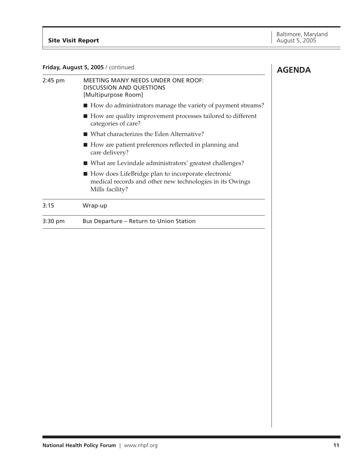| Friday, August 5, 2005 / continued | <b>AGENDA</b>                                                                                                                       |  |
|------------------------------------|-------------------------------------------------------------------------------------------------------------------------------------|--|
| $2:45$ pm                          | <b>MEETING MANY NEEDS UNDER ONE ROOF:</b><br><b>DISCUSSION AND QUESTIONS</b><br>[Multipurpose Room]                                 |  |
|                                    | ■ How do administrators manage the variety of payment streams?                                                                      |  |
|                                    | ■ How are quality improvement processes tailored to different<br>categories of care?                                                |  |
|                                    | ■ What characterizes the Eden Alternative?                                                                                          |  |
|                                    | ■ How are patient preferences reflected in planning and<br>care delivery?                                                           |  |
|                                    | ■ What are Levindale administrators' greatest challenges?                                                                           |  |
|                                    | ■ How does LifeBridge plan to incorporate electronic<br>medical records and other new technologies in its Owings<br>Mills facility? |  |
| 3:15                               | Wrap-up                                                                                                                             |  |
| 3:30 pm                            | Bus Departure - Return to Union Station                                                                                             |  |
|                                    |                                                                                                                                     |  |
|                                    |                                                                                                                                     |  |
|                                    |                                                                                                                                     |  |
|                                    |                                                                                                                                     |  |
|                                    |                                                                                                                                     |  |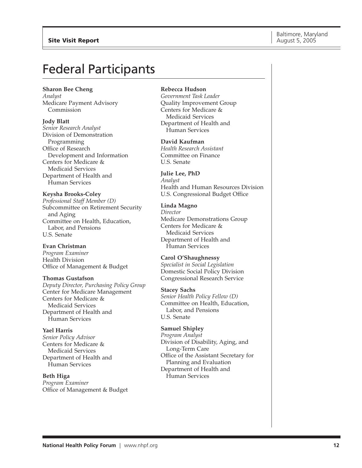## Federal Participants

#### **Sharon Bee Cheng**

*Analyst* Medicare Payment Advisory Commission

#### **Jody Blatt**

*Senior Research Analyst* Division of Demonstration Programming Office of Research Development and Information Centers for Medicare & Medicaid Services Department of Health and Human Services

#### **Keysha Brooks-Coley**

*Professional Staff Member (D)* Subcommittee on Retirement Security and Aging Committee on Health, Education, Labor, and Pensions U.S. Senate

#### **Evan Christman**

*Program Examiner* Health Division Office of Management & Budget

#### **Thomas Gustafson**

*Deputy Director, Purchasing Policy Group* Center for Medicare Management Centers for Medicare & Medicaid Services Department of Health and Human Services

**Yael Harris** *Senior Policy Advisor* Centers for Medicare & Medicaid Services Department of Health and Human Services

**Beth Higa** *Program Examiner* Office of Management & Budget

#### **Rebecca Hudson**

*Government Task Leader* Quality Improvement Group Centers for Medicare & Medicaid Services Department of Health and Human Services

**David Kaufman** *Health Research Assistant* Committee on Finance U.S. Senate

#### **Julie Lee, PhD** *Analyst* Health and Human Resources Division U.S. Congressional Budget Office

#### **Linda Magno** *Director* Medicare Demonstrations Group Centers for Medicare &

Medicaid Services Department of Health and Human Services

#### **Carol O'Shaughnessy**

*Specialist in Social Legislation* Domestic Social Policy Division Congressional Research Service

#### **Stacey Sachs**

*Senior Health Policy Fellow (D)* Committee on Health, Education, Labor, and Pensions U.S. Senate

#### **Samuel Shipley**

*Program Analyst* Division of Disability, Aging, and Long-Term Care Office of the Assistant Secretary for Planning and Evaluation Department of Health and Human Services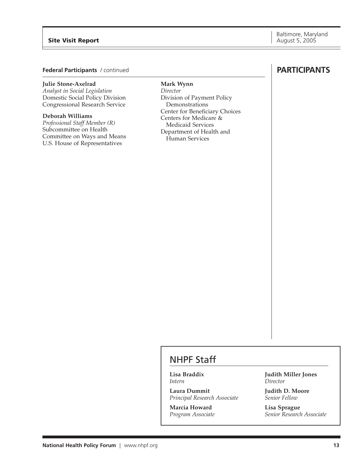#### **Site Visit Report** August 5, 2005

#### **Federal Participants** / continued

#### **Julie Stone-Axelrad**

*Analyst in Social Legislation* Domestic Social Policy Division Congressional Research Service

#### **Deborah Williams**

*Professional Staff Member (R)* Subcommittee on Health Committee on Ways and Means U.S. House of Representatives

#### **Mark Wynn**

*Director* Division of Payment Policy Demonstrations Center for Beneficiary Choices Centers for Medicare & Medicaid Services Department of Health and Human Services

### **PARTICIPANTS**

### NHPF Staff

**Lisa Braddix** *Intern*

**Laura Dummit** *Principal Research Associate*

**Marcia Howard** *Program Associate* **Judith Miller Jones** *Director*

**Judith D. Moore** *Senior Fellow*

**Lisa Sprague** *Senior Research Associate*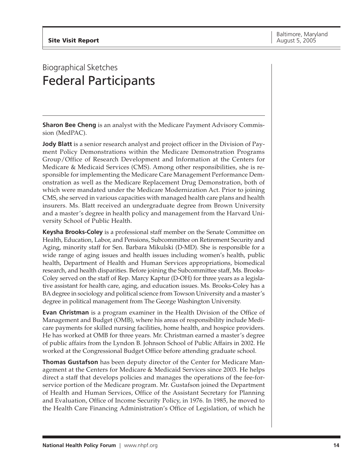## Biographical Sketches Federal Participants

**Sharon Bee Cheng** is an analyst with the Medicare Payment Advisory Commission (MedPAC).

**Jody Blatt** is a senior research analyst and project officer in the Division of Payment Policy Demonstrations within the Medicare Demonstration Programs Group/Office of Research Development and Information at the Centers for Medicare & Medicaid Services (CMS). Among other responsibilities, she is responsible for implementing the Medicare Care Management Performance Demonstration as well as the Medicare Replacement Drug Demonstration, both of which were mandated under the Medicare Modernization Act. Prior to joining CMS, she served in various capacities with managed health care plans and health insurers. Ms. Blatt received an undergraduate degree from Brown University and a master's degree in health policy and management from the Harvard University School of Public Health.

**Keysha Brooks-Coley** is a professional staff member on the Senate Committee on Health, Education, Labor, and Pensions, Subcommittee on Retirement Security and Aging, minority staff for Sen. Barbara Mikulski (D-MD). She is responsible for a wide range of aging issues and health issues including women's health, public health, Department of Health and Human Services appropriations, biomedical research, and health disparities. Before joining the Subcommittee staff, Ms. Brooks-Coley served on the staff of Rep. Marcy Kaptur (D-OH) for three years as a legislative assistant for health care, aging, and education issues. Ms. Brooks-Coley has a BA degree in sociology and political science from Towson University and a master's degree in political management from The George Washington University.

**Evan Christman** is a program examiner in the Health Division of the Office of Management and Budget (OMB), where his areas of responsibility include Medicare payments for skilled nursing facilities, home health, and hospice providers. He has worked at OMB for three years. Mr. Christman earned a master's degree of public affairs from the Lyndon B. Johnson School of Public Affairs in 2002. He worked at the Congressional Budget Office before attending graduate school.

**Thomas Gustafson** has been deputy director of the Center for Medicare Management at the Centers for Medicare & Medicaid Services since 2003. He helps direct a staff that develops policies and manages the operations of the fee-forservice portion of the Medicare program. Mr. Gustafson joined the Department of Health and Human Services, Office of the Assistant Secretary for Planning and Evaluation, Office of Income Security Policy, in 1976. In 1985, he moved to the Health Care Financing Administration's Office of Legislation, of which he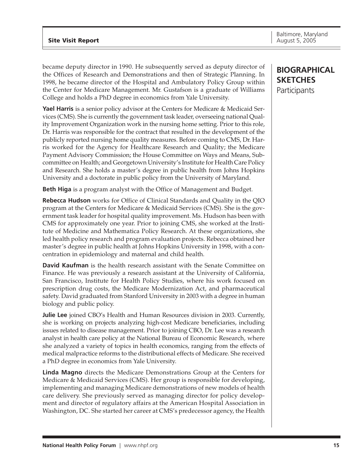became deputy director in 1990. He subsequently served as deputy director of the Offices of Research and Demonstrations and then of Strategic Planning. In 1998, he became director of the Hospital and Ambulatory Policy Group within the Center for Medicare Management. Mr. Gustafson is a graduate of Williams College and holds a PhD degree in economics from Yale University.

**Yael Harris** is a senior policy advisor at the Centers for Medicare & Medicaid Services (CMS). She is currently the government task leader, overseeing national Quality Improvement Organization work in the nursing home setting. Prior to this role, Dr. Harris was responsible for the contract that resulted in the development of the publicly reported nursing home quality measures. Before coming to CMS, Dr. Harris worked for the Agency for Healthcare Research and Quality; the Medicare Payment Advisory Commission; the House Committee on Ways and Means, Subcommittee on Health; and Georgetown University's Institute for Health Care Policy and Research. She holds a master's degree in public health from Johns Hopkins University and a doctorate in public policy from the University of Maryland.

**Beth Higa** is a program analyst with the Office of Management and Budget.

**Rebecca Hudson** works for Office of Clinical Standards and Quality in the QIO program at the Centers for Medicare & Medicaid Services (CMS). She is the government task leader for hospital quality improvement. Ms. Hudson has been with CMS for approximately one year. Prior to joining CMS, she worked at the Institute of Medicine and Mathematica Policy Research. At these organizations, she led health policy research and program evaluation projects. Rebecca obtained her master's degree in public health at Johns Hopkins University in 1998, with a concentration in epidemiology and maternal and child health.

**David Kaufman** is the health research assistant with the Senate Committee on Finance. He was previously a research assistant at the University of California, San Francisco, Institute for Health Policy Studies, where his work focused on prescription drug costs, the Medicare Modernization Act, and pharmaceutical safety. David graduated from Stanford University in 2003 with a degree in human biology and public policy.

**Julie Lee** joined CBO's Health and Human Resources division in 2003. Currently, she is working on projects analyzing high-cost Medicare beneficiaries, including issues related to disease management. Prior to joining CBO, Dr. Lee was a research analyst in health care policy at the National Bureau of Economic Research, where she analyzed a variety of topics in health economics, ranging from the effects of medical malpractice reforms to the distributional effects of Medicare. She received a PhD degree in economics from Yale University.

**Linda Magno** directs the Medicare Demonstrations Group at the Centers for Medicare & Medicaid Services (CMS). Her group is responsible for developing, implementing and managing Medicare demonstrations of new models of health care delivery. She previously served as managing director for policy development and director of regulatory affairs at the American Hospital Association in Washington, DC. She started her career at CMS's predecessor agency, the Health

### **BIOGRAPHICAL SKETCHES Participants**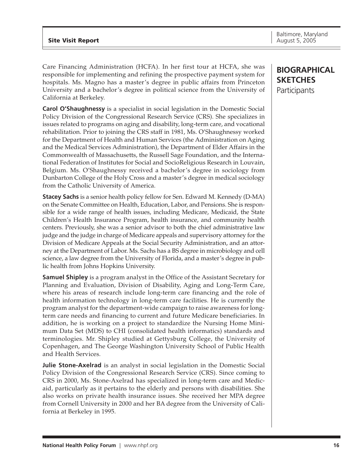Care Financing Administration (HCFA). In her first tour at HCFA, she was responsible for implementing and refining the prospective payment system for hospitals. Ms. Magno has a master's degree in public affairs from Princeton University and a bachelor's degree in political science from the University of California at Berkeley.

**Carol O'Shaughnessy** is a specialist in social legislation in the Domestic Social Policy Division of the Congressional Research Service (CRS). She specializes in issues related to programs on aging and disability, long-term care, and vocational rehabilitation. Prior to joining the CRS staff in 1981, Ms. O'Shaughnessy worked for the Department of Health and Human Services (the Administration on Aging and the Medical Services Administration), the Department of Elder Affairs in the Commonwealth of Massachusetts, the Russell Sage Foundation, and the International Federation of Institutes for Social and SocioReligious Research in Louvain, Belgium. Ms. O'Shaughnessy received a bachelor's degree in sociology from Dunbarton College of the Holy Cross and a master's degree in medical sociology from the Catholic University of America.

**Stacey Sachs** is a senior health policy fellow for Sen. Edward M. Kennedy (D-MA) on the Senate Committee on Health, Education, Labor, and Pensions. She is responsible for a wide range of health issues, including Medicare, Medicaid, the State Children's Health Insurance Program, health insurance, and community health centers. Previously, she was a senior advisor to both the chief administrative law judge and the judge in charge of Medicare appeals and supervisory attorney for the Division of Medicare Appeals at the Social Security Administration, and an attorney at the Department of Labor. Ms. Sachs has a BS degree in microbiology and cell science, a law degree from the University of Florida, and a master's degree in public health from Johns Hopkins University.

**Samuel Shipley** is a program analyst in the Office of the Assistant Secretary for Planning and Evaluation, Division of Disability, Aging and Long-Term Care, where his areas of research include long-term care financing and the role of health information technology in long-term care facilities. He is currently the program analyst for the department-wide campaign to raise awareness for longterm care needs and financing to current and future Medicare beneficiaries. In addition, he is working on a project to standardize the Nursing Home Minimum Data Set (MDS) to CHI (consolidated health informatics) standards and terminologies. Mr. Shipley studied at Gettysburg College, the University of Copenhagen, and The George Washington University School of Public Health and Health Services.

**Julie Stone-Axelrad** is an analyst in social legislation in the Domestic Social Policy Division of the Congressional Research Service (CRS). Since coming to CRS in 2000, Ms. Stone-Axelrad has specialized in long-term care and Medicaid, particularly as it pertains to the elderly and persons with disabilities. She also works on private health insurance issues. She received her MPA degree from Cornell University in 2000 and her BA degree from the University of California at Berkeley in 1995.

### **BIOGRAPHICAL SKETCHES Participants**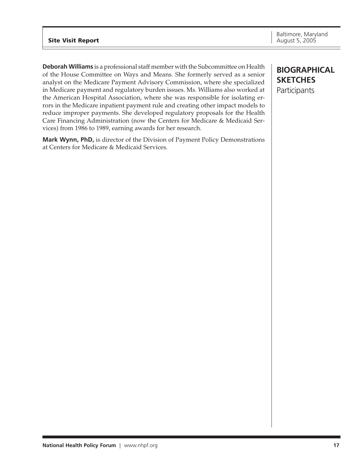#### **Site Visit Report** August 5, 2005

**Deborah Williams** is a professional staff member with the Subcommittee on Health of the House Committee on Ways and Means. She formerly served as a senior analyst on the Medicare Payment Advisory Commission, where she specialized in Medicare payment and regulatory burden issues. Ms. Williams also worked at the American Hospital Association, where she was responsible for isolating errors in the Medicare inpatient payment rule and creating other impact models to reduce improper payments. She developed regulatory proposals for the Health Care Financing Administration (now the Centers for Medicare & Medicaid Services) from 1986 to 1989, earning awards for her research.

**Mark Wynn, PhD,** is director of the Division of Payment Policy Demonstrations at Centers for Medicare & Medicaid Services.

### **BIOGRAPHICAL SKETCHES Participants**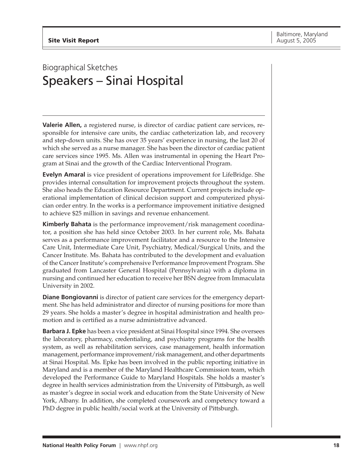## Biographical Sketches Speakers – Sinai Hospital

**Valerie Allen,** a registered nurse, is director of cardiac patient care services, responsible for intensive care units, the cardiac catheterization lab, and recovery and step-down units. She has over 35 years' experience in nursing, the last 20 of which she served as a nurse manager. She has been the director of cardiac patient care services since 1995. Ms. Allen was instrumental in opening the Heart Program at Sinai and the growth of the Cardiac Interventional Program.

**Evelyn Amaral** is vice president of operations improvement for LifeBridge. She provides internal consultation for improvement projects throughout the system. She also heads the Education Resource Department. Current projects include operational implementation of clinical decision support and computerized physician order entry. In the works is a performance improvement initiative designed to achieve \$25 million in savings and revenue enhancement.

**Kimberly Bahata** is the performance improvement/risk management coordinator, a position she has held since October 2003. In her current role, Ms. Bahata serves as a performance improvement facilitator and a resource to the Intensive Care Unit, Intermediate Care Unit, Psychiatry, Medical/Surgical Units, and the Cancer Institute. Ms. Bahata has contributed to the development and evaluation of the Cancer Institute's comprehensive Performance Improvement Program. She graduated from Lancaster General Hospital (Pennsylvania) with a diploma in nursing and continued her education to receive her BSN degree from Immaculata University in 2002.

**Diane Bongiovanni** is director of patient care services for the emergency department. She has held administrator and director of nursing positions for more than 29 years. She holds a master's degree in hospital administration and health promotion and is certified as a nurse administrative advanced.

**Barbara J. Epke** has been a vice president at Sinai Hospital since 1994. She oversees the laboratory, pharmacy, credentialing, and psychiatry programs for the health system, as well as rehabilitation services, case management, health information management, performance improvement/risk management, and other departments at Sinai Hospital. Ms. Epke has been involved in the public reporting initiative in Maryland and is a member of the Maryland Healthcare Commission team, which developed the Performance Guide to Maryland Hospitals. She holds a master's degree in health services administration from the University of Pittsburgh, as well as master's degree in social work and education from the State University of New York, Albany. In addition, she completed coursework and competency toward a PhD degree in public health/social work at the University of Pittsburgh.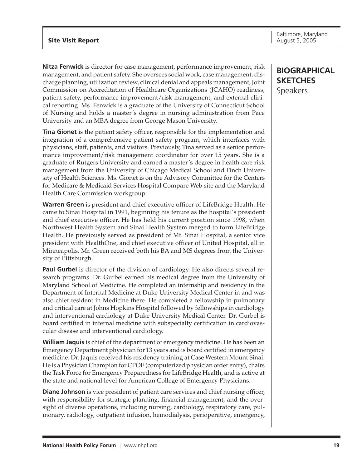**Nitza Fenwick** is director for case management, performance improvement, risk management, and patient safety. She oversees social work, case management, discharge planning, utilization review, clinical denial and appeals management, Joint Commission on Accreditation of Healthcare Organizations (JCAHO) readiness, patient safety, performance improvement/risk management, and external clinical reporting. Ms. Fenwick is a graduate of the University of Connecticut School of Nursing and holds a master's degree in nursing administration from Pace University and an MBA degree from George Mason University.

**Tina Gionet** is the patient safety officer, responsible for the implementation and integration of a comprehensive patient safety program, which interfaces with physicians, staff, patients, and visitors. Previously, Tina served as a senior performance improvement/risk management coordinator for over 15 years. She is a graduate of Rutgers University and earned a master's degree in health care risk management from the University of Chicago Medical School and Finch University of Health Sciences. Ms. Gionet is on the Advisory Committee for the Centers for Medicare & Medicaid Services Hospital Compare Web site and the Maryland Health Care Commission workgroup.

**Warren Green** is president and chief executive officer of LifeBridge Health. He came to Sinai Hospital in 1991, beginning his tenure as the hospital's president and chief executive officer. He has held his current position since 1998, when Northwest Health System and Sinai Health System merged to form LifeBridge Health. He previously served as president of Mt. Sinai Hospital, a senior vice president with HealthOne, and chief executive officer of United Hospital, all in Minneapolis. Mr. Green received both his BA and MS degrees from the University of Pittsburgh.

**Paul Gurbel** is director of the division of cardiology. He also directs several research programs. Dr. Gurbel earned his medical degree from the University of Maryland School of Medicine. He completed an internship and residency in the Department of Internal Medicine at Duke University Medical Center in and was also chief resident in Medicine there. He completed a fellowship in pulmonary and critical care at Johns Hopkins Hospital followed by fellowships in cardiology and interventional cardiology at Duke University Medical Center. Dr. Gurbel is board certified in internal medicine with subspecialty certification in cardiovascular disease and interventional cardiology.

**William Jaquis** is chief of the department of emergency medicine. He has been an Emergency Department physician for 13 years and is board certified in emergency medicine. Dr. Jaquis received his residency training at Case Western Mount Sinai. He is a Physician Champion for CPOE (computerized physician order entry), chairs the Task Force for Emergency Preparedness for LifeBridge Health, and is active at the state and national level for American College of Emergency Physicians.

**Diane Johnson** is vice president of patient care services and chief nursing officer, with responsibility for strategic planning, financial management, and the oversight of diverse operations, including nursing, cardiology, respiratory care, pulmonary, radiology, outpatient infusion, hemodialysis, perioperative, emergency,

### **BIOGRAPHICAL SKETCHES** Speakers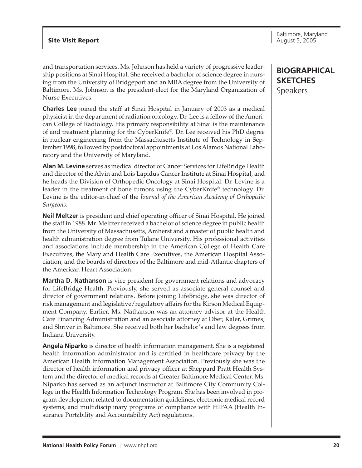and transportation services. Ms. Johnson has held a variety of progressive leadership positions at Sinai Hospital. She received a bachelor of science degree in nursing from the University of Bridgeport and an MBA degree from the University of Baltimore. Ms. Johnson is the president-elect for the Maryland Organization of Nurse Executives.

**Charles Lee** joined the staff at Sinai Hospital in January of 2003 as a medical physicist in the department of radiation oncology. Dr. Lee is a fellow of the American College of Radiology. His primary responsibility at Sinai is the maintenance of and treatment planning for the CyberKnife®. Dr. Lee received his PhD degree in nuclear engineering from the Massachusetts Institute of Technology in September 1998, followed by postdoctoral appointments at Los Alamos National Laboratory and the University of Maryland.

**Alan M. Levine** serves as medical director of Cancer Services for LifeBridge Health and director of the Alvin and Lois Lapidus Cancer Institute at Sinai Hospital, and he heads the Division of Orthopedic Oncology at Sinai Hospital. Dr. Levine is a leader in the treatment of bone tumors using the CyberKnife® technology. Dr. Levine is the editor-in-chief of the *Journal of the American Academy of Orthopedic Surgeons*.

**Neil Meltzer** is president and chief operating officer of Sinai Hospital. He joined the staff in 1988. Mr. Meltzer received a bachelor of science degree in public health from the University of Massachusetts, Amherst and a master of public health and health administration degree from Tulane University. His professional activities and associations include membership in the American College of Health Care Executives, the Maryland Health Care Executives, the American Hospital Association, and the boards of directors of the Baltimore and mid-Atlantic chapters of the American Heart Association.

**Martha D. Nathanson** is vice president for government relations and advocacy for LifeBridge Health. Previously, she served as associate general counsel and director of government relations. Before joining LifeBridge, she was director of risk management and legislative/regulatory affairs for the Kirson Medical Equipment Company. Earlier, Ms. Nathanson was an attorney advisor at the Health Care Financing Administration and an associate attorney at Ober, Kaler, Grimes, and Shriver in Baltimore. She received both her bachelor's and law degrees from Indiana University.

**Angela Niparko** is director of health information management. She is a registered health information administrator and is certified in healthcare privacy by the American Health Information Management Association. Previously she was the director of health information and privacy officer at Sheppard Pratt Health System and the director of medical records at Greater Baltimore Medical Center. Ms. Niparko has served as an adjunct instructor at Baltimore City Community College in the Health Information Technology Program. She has been involved in program development related to documentation guidelines, electronic medical record systems, and multidisciplinary programs of compliance with HIPAA (Health Insurance Portability and Accountability Act) regulations.

### **BIOGRAPHICAL SKETCHES** Speakers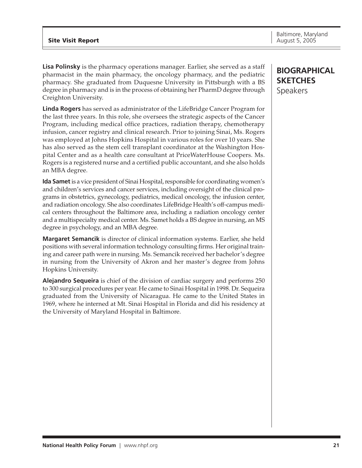**Lisa Polinsky** is the pharmacy operations manager. Earlier, she served as a staff pharmacist in the main pharmacy, the oncology pharmacy, and the pediatric pharmacy. She graduated from Duquesne University in Pittsburgh with a BS degree in pharmacy and is in the process of obtaining her PharmD degree through Creighton University.

**Linda Rogers** has served as administrator of the LifeBridge Cancer Program for the last three years. In this role, she oversees the strategic aspects of the Cancer Program, including medical office practices, radiation therapy, chemotherapy infusion, cancer registry and clinical research. Prior to joining Sinai, Ms. Rogers was employed at Johns Hopkins Hospital in various roles for over 10 years. She has also served as the stem cell transplant coordinator at the Washington Hospital Center and as a health care consultant at PriceWaterHouse Coopers. Ms. Rogers is a registered nurse and a certified public accountant, and she also holds an MBA degree.

**Ida Samet**is a vice president of Sinai Hospital, responsible for coordinating women's and children's services and cancer services, including oversight of the clinical programs in obstetrics, gynecology, pediatrics, medical oncology, the infusion center, and radiation oncology. She also coordinates LifeBridge Health's off-campus medical centers throughout the Baltimore area, including a radiation oncology center and a multispecialty medical center. Ms. Samet holds a BS degree in nursing, an MS degree in psychology, and an MBA degree.

**Margaret Semancik** is director of clinical information systems. Earlier, she held positions with several information technology consulting firms. Her original training and career path were in nursing. Ms. Semancik received her bachelor's degree in nursing from the University of Akron and her master's degree from Johns Hopkins University.

**Alejandro Sequeira** is chief of the division of cardiac surgery and performs 250 to 300 surgical procedures per year. He came to Sinai Hospital in 1998. Dr. Sequeira graduated from the University of Nicaragua. He came to the United States in 1969, where he interned at Mt. Sinai Hospital in Florida and did his residency at the University of Maryland Hospital in Baltimore.

### **BIOGRAPHICAL SKETCHES** Speakers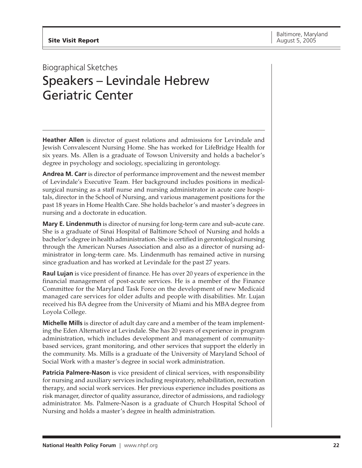## Biographical Sketches Speakers – Levindale Hebrew Geriatric Center

**Heather Allen** is director of guest relations and admissions for Levindale and Jewish Convalescent Nursing Home. She has worked for LifeBridge Health for six years. Ms. Allen is a graduate of Towson University and holds a bachelor's degree in psychology and sociology, specializing in gerontology.

**Andrea M. Carr** is director of performance improvement and the newest member of Levindale's Executive Team. Her background includes positions in medicalsurgical nursing as a staff nurse and nursing administrator in acute care hospitals, director in the School of Nursing, and various management positions for the past 18 years in Home Health Care. She holds bachelor's and master's degrees in nursing and a doctorate in education.

**Mary E. Lindenmuth** is director of nursing for long-term care and sub-acute care. She is a graduate of Sinai Hospital of Baltimore School of Nursing and holds a bachelor's degree in health administration. She is certified in gerontological nursing through the American Nurses Association and also as a director of nursing administrator in long-term care. Ms. Lindenmuth has remained active in nursing since graduation and has worked at Levindale for the past 27 years.

**Raul Lujan** is vice president of finance. He has over 20 years of experience in the financial management of post-acute services. He is a member of the Finance Committee for the Maryland Task Force on the development of new Medicaid managed care services for older adults and people with disabilities. Mr. Lujan received his BA degree from the University of Miami and his MBA degree from Loyola College.

**Michelle Mills** is director of adult day care and a member of the team implementing the Eden Alternative at Levindale. She has 20 years of experience in program administration, which includes development and management of communitybased services, grant monitoring, and other services that support the elderly in the community. Ms. Mills is a graduate of the University of Maryland School of Social Work with a master's degree in social work administration.

**Patricia Palmere-Nason** is vice president of clinical services, with responsibility for nursing and auxiliary services including respiratory, rehabilitation, recreation therapy, and social work services. Her previous experience includes positions as risk manager, director of quality assurance, director of admissions, and radiology administrator. Ms. Palmere-Nason is a graduate of Church Hospital School of Nursing and holds a master's degree in health administration.